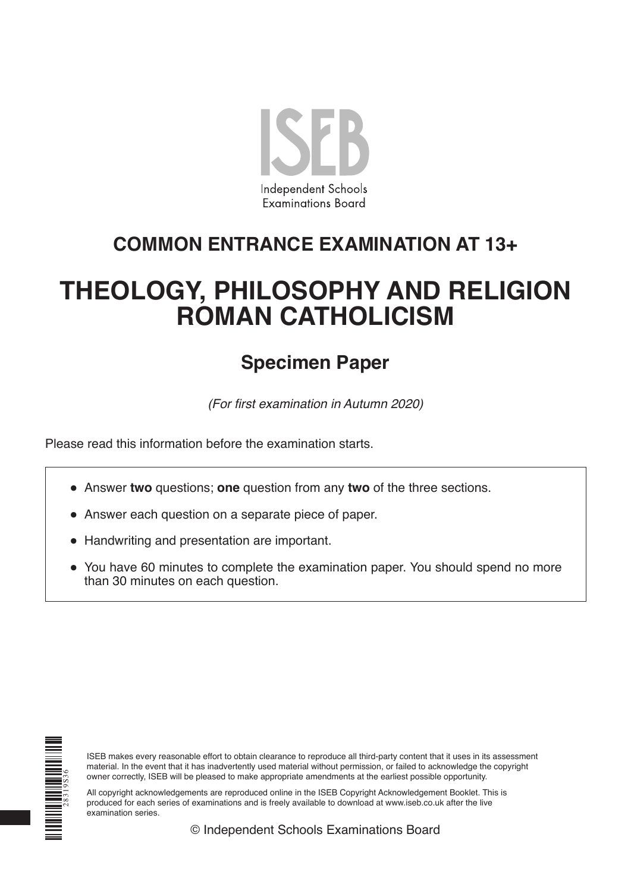

# **COMMON ENTRANCE EXAMINATION AT 13+**

# **THEOLOGY, PHILOSOPHY AND RELIGION ROMAN CATHOLICISM**

# **Specimen Paper**

(For first examination in Autumn 2020)

Please read this information before the examination starts.

- Answer **two** questions; **one** question from any **two** of the three sections.
- Answer each question on a separate piece of paper.
- Handwriting and presentation are important.
- You have 60 minutes to complete the examination paper. You should spend no more than 30 minutes on each question.



ISEB makes every reasonable effort to obtain clearance to reproduce all third-party content that it uses in its assessment material. In the event that it has inadvertently used material without permission, or failed to acknowledge the copyright owner correctly, ISEB will be pleased to make appropriate amendments at the earliest possible opportunity.

All copyright acknowledgements are reproduced online in the ISEB Copyright Acknowledgement Booklet. This is produced for each series of examinations and is freely available to download at www.iseb.co.uk after the live examination series.

© Independent Schools Examinations Board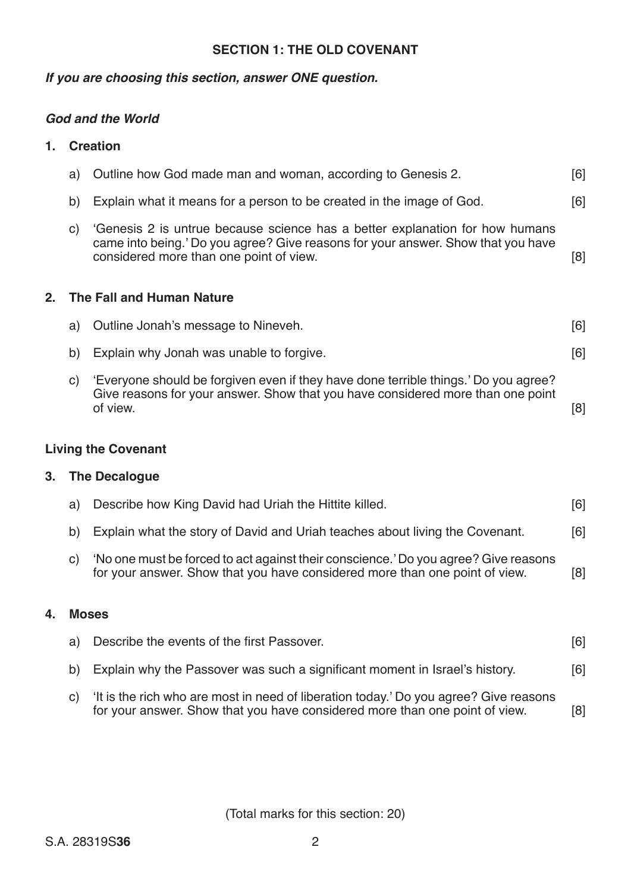#### **SECTION 1: THE OLD COVENANT**

#### *If you are choosing this section, answer ONE question.*

#### *God and the World*

#### **1. Creation**

|    | a)           | Outline how God made man and woman, according to Genesis 2.                                                                                                                                                 | [6] |
|----|--------------|-------------------------------------------------------------------------------------------------------------------------------------------------------------------------------------------------------------|-----|
|    | b)           | Explain what it means for a person to be created in the image of God.                                                                                                                                       | [6] |
|    | $\mathsf{C}$ | 'Genesis 2 is untrue because science has a better explanation for how humans<br>came into being.' Do you agree? Give reasons for your answer. Show that you have<br>considered more than one point of view. | [8] |
| 2. |              | <b>The Fall and Human Nature</b>                                                                                                                                                                            |     |
|    | a)           | Outline Jonah's message to Nineveh.                                                                                                                                                                         | [6] |
|    | b)           | Explain why Jonah was unable to forgive.                                                                                                                                                                    | [6] |
|    | $\mathsf{C}$ | 'Everyone should be forgiven even if they have done terrible things.' Do you agree?<br>Give reasons for your answer. Show that you have considered more than one point<br>of view.                          | [8] |
|    |              | <b>Living the Covenant</b>                                                                                                                                                                                  |     |
| 3. |              | <b>The Decalogue</b>                                                                                                                                                                                        |     |
|    | a)           | Describe how King David had Uriah the Hittite killed.                                                                                                                                                       | [6] |
|    |              |                                                                                                                                                                                                             |     |

- b) Explain what the story of David and Uriah teaches about living the Covenant. [6]
- c) 'No one must be forced to act against their conscience.' Do you agree? Give reasons for your answer. Show that you have considered more than one point of view. [8]

#### **4. Moses**

|  | a) Describe the events of the first Passover.                                            | [6] |
|--|------------------------------------------------------------------------------------------|-----|
|  | b) Explain why the Passover was such a significant moment in Israel's history.           | [6] |
|  | c) 'It is the rich who are most in need of liberation today.' Do you agree? Give reasons |     |

for your answer. Show that you have considered more than one point of view. [8]

(Total marks for this section: 20)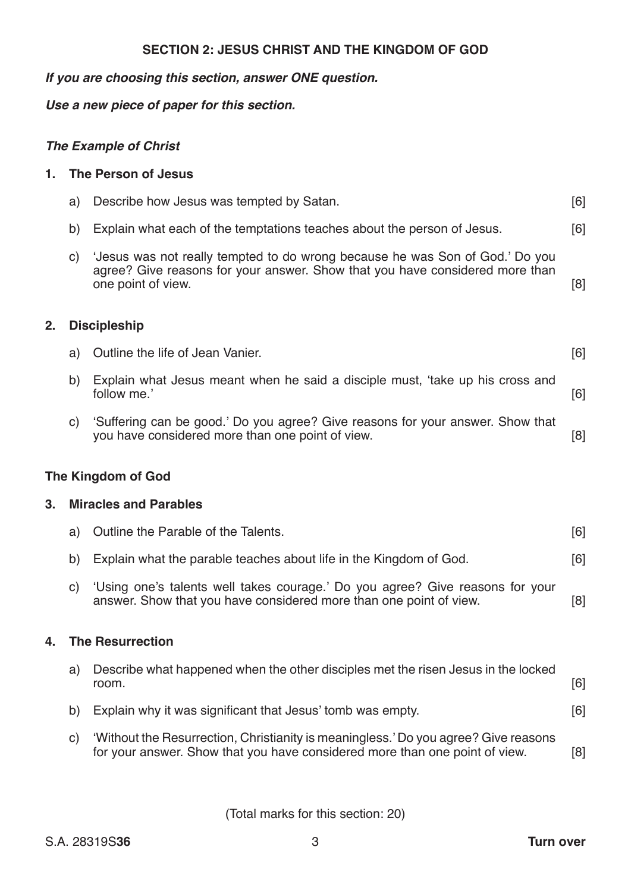#### **SECTION 2: JESUS CHRIST AND THE KINGDOM OF GOD**

#### *If you are choosing this section, answer ONE question.*

*Use a new piece of paper for this section.*

## *The Example of Christ*

#### **1. The Person of Jesus**

- a) Describe how Jesus was tempted by Satan. The manufacturer of the second state of the second state of the second state of the second state of the second state of the second state of the second state of the second state o
- b) Explain what each of the temptations teaches about the person of Jesus. [6]
- c) 'Jesus was not really tempted to do wrong because he was Son of God.' Do you agree? Give reasons for your answer. Show that you have considered more than one point of view. [8]

#### **2. Discipleship**

| a) Outline the life of Jean Vanier. |  |
|-------------------------------------|--|
|                                     |  |

- b) Explain what Jesus meant when he said a disciple must, 'take up his cross and follow me.' follow me.' [6]
- c) 'Suffering can be good.' Do you agree? Give reasons for your answer. Show that you have considered more than one point of view. [8]

#### **The Kingdom of God**

#### **3. Miracles and Parables**

|  | a) Outline the Parable of the Talents.                                | [6] |
|--|-----------------------------------------------------------------------|-----|
|  | b) Explain what the parable teaches about life in the Kingdom of God. | [6] |
|  |                                                                       |     |

 c) 'Using one's talents well takes courage.' Do you agree? Give reasons for your answer. Show that you have considered more than one point of view. [8]

#### **4. The Resurrection**

| a) | Describe what happened when the other disciples met the risen Jesus in the locked<br>room. | [6] |
|----|--------------------------------------------------------------------------------------------|-----|
| b) | Explain why it was significant that Jesus' tomb was empty.                                 | [6] |
| C) | 'Without the Resurrection, Christianity is meaningless.' Do you agree? Give reasons        |     |

for your answer. Show that you have considered more than one point of view. [8]

(Total marks for this section: 20)